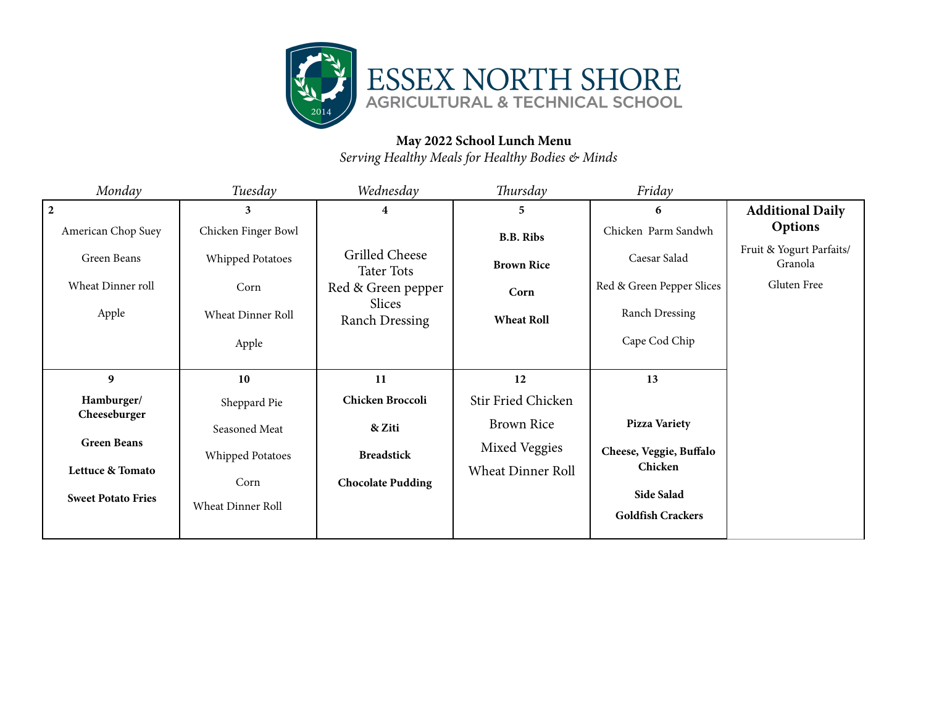

## **May 2022 School Lunch Menu**

*Serving Healthy Meals for Healthy Bodies & Minds*

| Monday                      | Tuesday                  | Wednesday                           | Thursday                 | Friday                    |                                     |
|-----------------------------|--------------------------|-------------------------------------|--------------------------|---------------------------|-------------------------------------|
| $\mathbf 2$                 | 3                        | 4                                   | 5                        | 6                         | <b>Additional Daily</b>             |
| American Chop Suey          | Chicken Finger Bowl      |                                     | <b>B.B. Ribs</b>         | Chicken Parm Sandwh       | Options                             |
| Green Beans                 | Whipped Potatoes         | Grilled Cheese<br><b>Tater Tots</b> | <b>Brown Rice</b>        | Caesar Salad              | Fruit & Yogurt Parfaits/<br>Granola |
| Wheat Dinner roll           | Corn                     | Red & Green pepper                  | Corn                     | Red & Green Pepper Slices | Gluten Free                         |
| Apple                       | <b>Wheat Dinner Roll</b> | Slices<br><b>Ranch Dressing</b>     | <b>Wheat Roll</b>        | Ranch Dressing            |                                     |
|                             | Apple                    |                                     |                          | Cape Cod Chip             |                                     |
|                             |                          |                                     |                          |                           |                                     |
| 9                           | 10                       | 11                                  | 12                       | 13                        |                                     |
| Hamburger/                  | Sheppard Pie             | Chicken Broccoli                    | Stir Fried Chicken       |                           |                                     |
| Cheeseburger                | Seasoned Meat            | & Ziti                              | <b>Brown Rice</b>        | Pizza Variety             |                                     |
| <b>Green Beans</b>          | Whipped Potatoes         | <b>Breadstick</b>                   | <b>Mixed Veggies</b>     | Cheese, Veggie, Buffalo   |                                     |
| <b>Lettuce &amp; Tomato</b> | Corn                     | <b>Chocolate Pudding</b>            | <b>Wheat Dinner Roll</b> | Chicken                   |                                     |
| <b>Sweet Potato Fries</b>   |                          |                                     |                          | Side Salad                |                                     |
|                             | Wheat Dinner Roll        |                                     |                          | <b>Goldfish Crackers</b>  |                                     |
|                             |                          |                                     |                          |                           |                                     |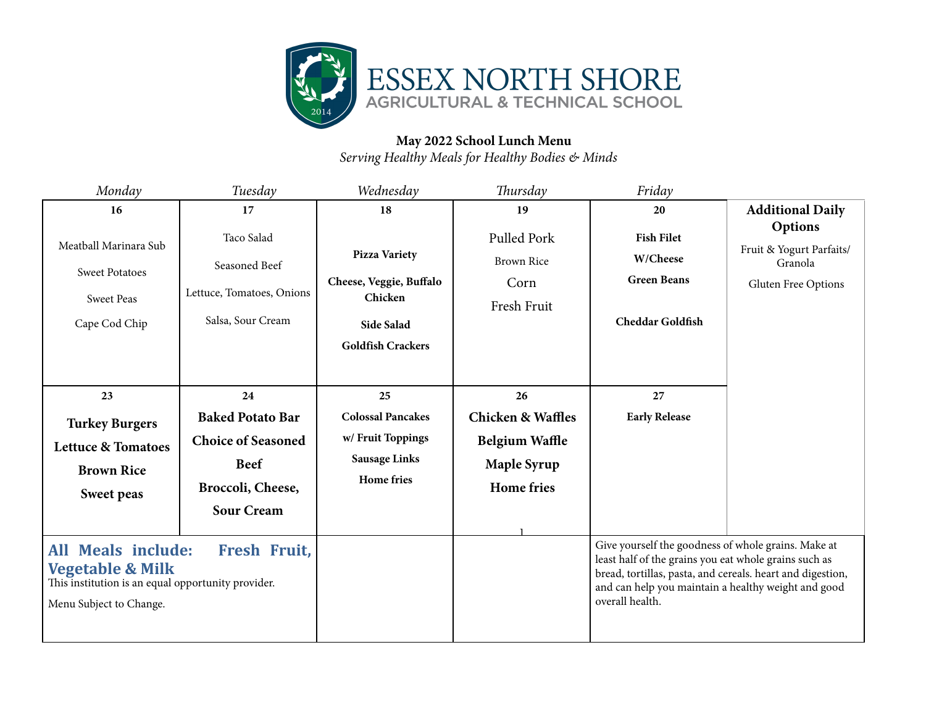

## **May 2022 School Lunch Menu**

*Serving Healthy Meals for Healthy Bodies & Minds*

| Monday                                                                                                                                                    | Tuesday                                                                                                       | Wednesday                                                                                            | Thursday                                                                                  | Friday                                                                                                                                                                                                                                               |                                                                       |
|-----------------------------------------------------------------------------------------------------------------------------------------------------------|---------------------------------------------------------------------------------------------------------------|------------------------------------------------------------------------------------------------------|-------------------------------------------------------------------------------------------|------------------------------------------------------------------------------------------------------------------------------------------------------------------------------------------------------------------------------------------------------|-----------------------------------------------------------------------|
| 16                                                                                                                                                        | 17                                                                                                            | 18                                                                                                   | 19                                                                                        | 20                                                                                                                                                                                                                                                   | <b>Additional Daily</b>                                               |
| Meatball Marinara Sub<br><b>Sweet Potatoes</b><br><b>Sweet Peas</b><br>Cape Cod Chip                                                                      | Taco Salad<br>Seasoned Beef<br>Lettuce, Tomatoes, Onions<br>Salsa, Sour Cream                                 | <b>Pizza Variety</b><br>Cheese, Veggie, Buffalo<br>Chicken<br>Side Salad<br><b>Goldfish Crackers</b> | Pulled Pork<br><b>Brown Rice</b><br>Corn<br>Fresh Fruit                                   | <b>Fish Filet</b><br>W/Cheese<br><b>Green Beans</b><br><b>Cheddar Goldfish</b>                                                                                                                                                                       | Options<br>Fruit & Yogurt Parfaits/<br>Granola<br>Gluten Free Options |
| 23                                                                                                                                                        | 24                                                                                                            | 25                                                                                                   | 26                                                                                        | 27                                                                                                                                                                                                                                                   |                                                                       |
| <b>Turkey Burgers</b><br><b>Lettuce &amp; Tomatoes</b><br><b>Brown Rice</b><br>Sweet peas                                                                 | <b>Baked Potato Bar</b><br><b>Choice of Seasoned</b><br><b>Beef</b><br>Broccoli, Cheese,<br><b>Sour Cream</b> | <b>Colossal Pancakes</b><br>w/ Fruit Toppings<br><b>Sausage Links</b><br><b>Home</b> fries           | <b>Chicken &amp; Waffles</b><br><b>Belgium Waffle</b><br>Maple Syrup<br><b>Home</b> fries | <b>Early Release</b>                                                                                                                                                                                                                                 |                                                                       |
| <b>All Meals include:</b><br>Fresh Fruit,<br><b>Vegetable &amp; Milk</b><br>This institution is an equal opportunity provider.<br>Menu Subject to Change. |                                                                                                               |                                                                                                      |                                                                                           | Give yourself the goodness of whole grains. Make at<br>least half of the grains you eat whole grains such as<br>bread, tortillas, pasta, and cereals. heart and digestion,<br>and can help you maintain a healthy weight and good<br>overall health. |                                                                       |